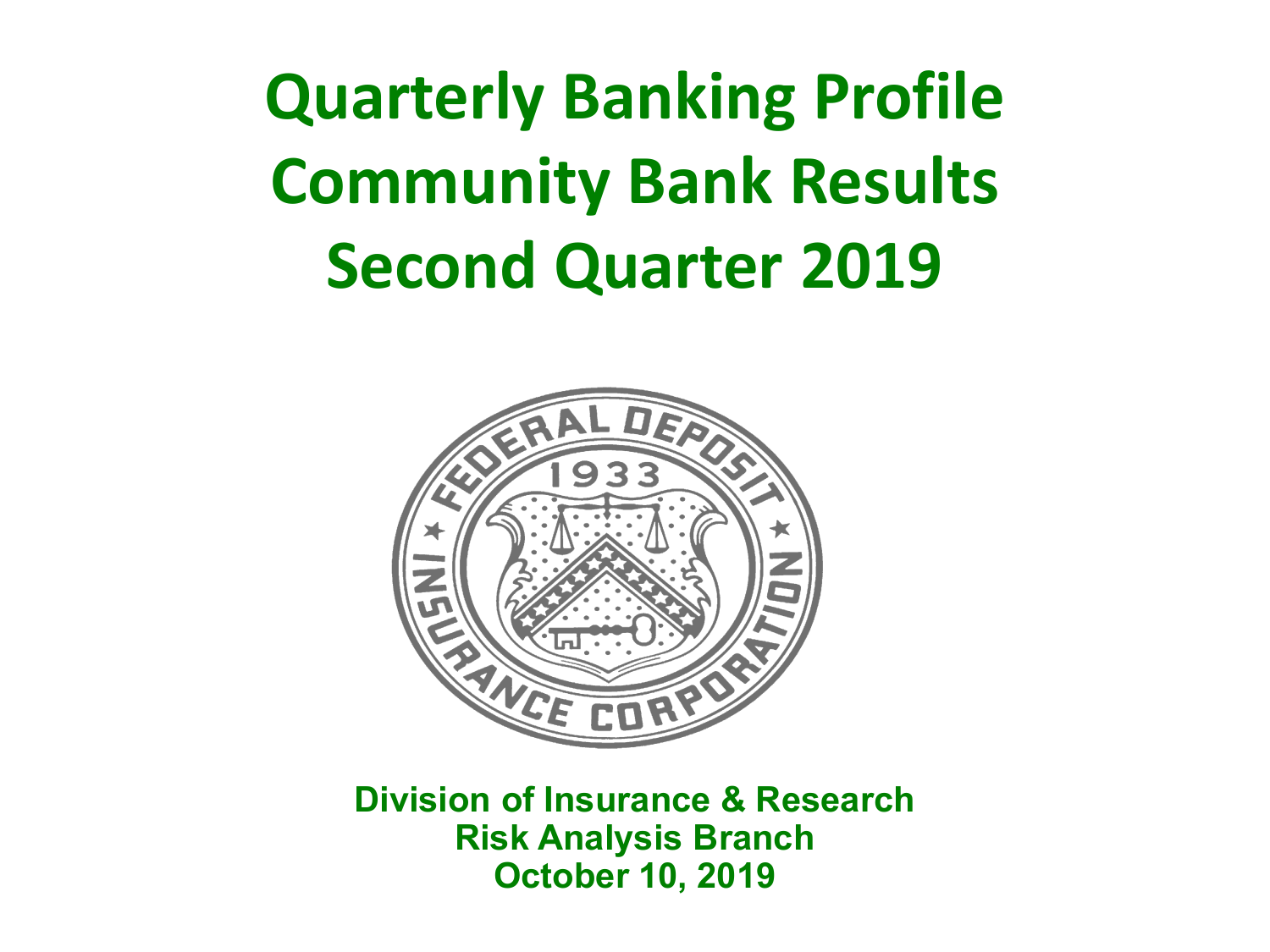**Quarterly Banking Profile Community Bank Results Second Quarter 2019** 



 **Division of Insurance & Research October 10, 2019 Risk Analysis Branch**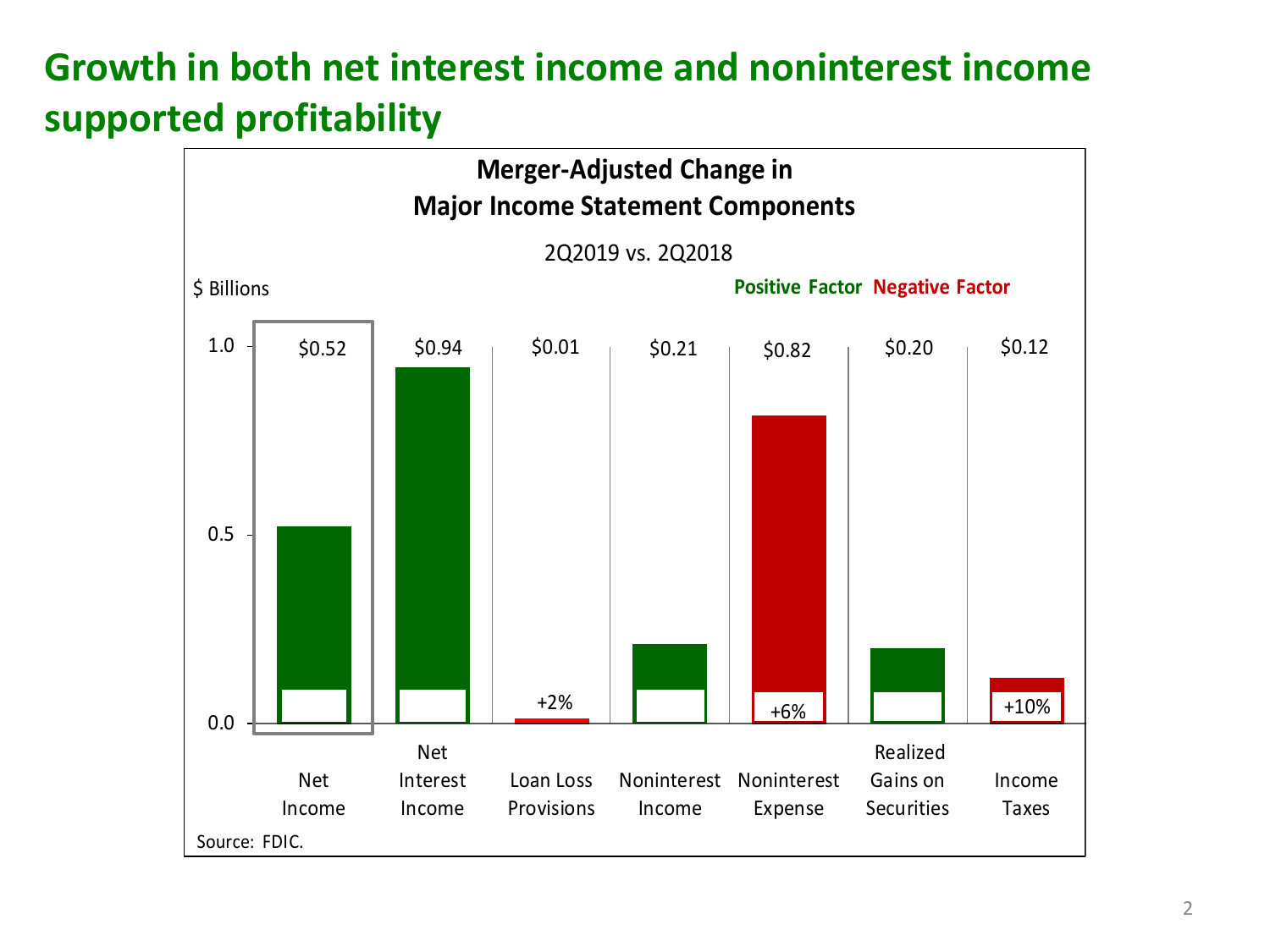# **Growth in both net interest income and noninterest income supported profitability**

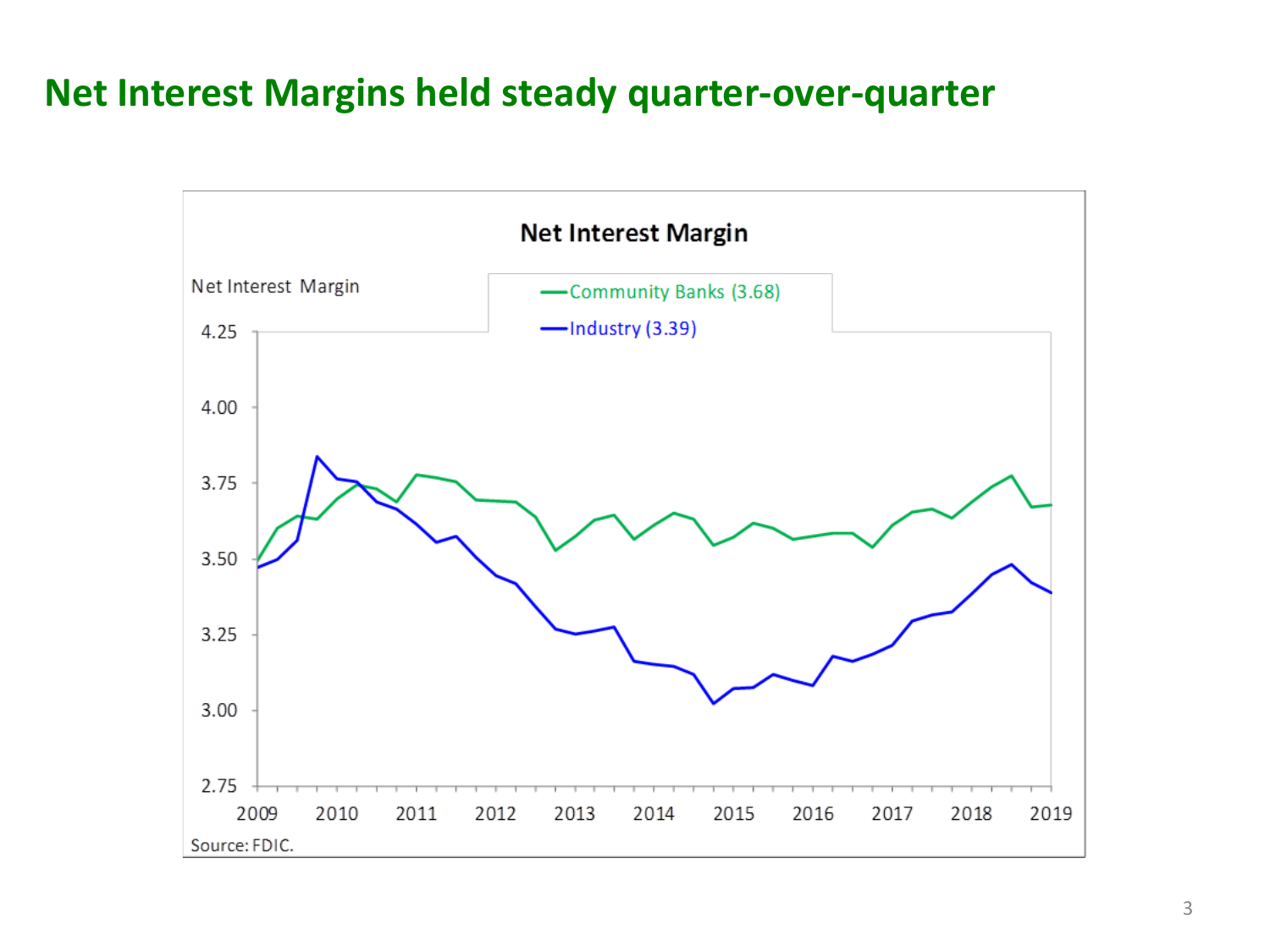### **Net Interest Margins held steady quarter-over-quarter**

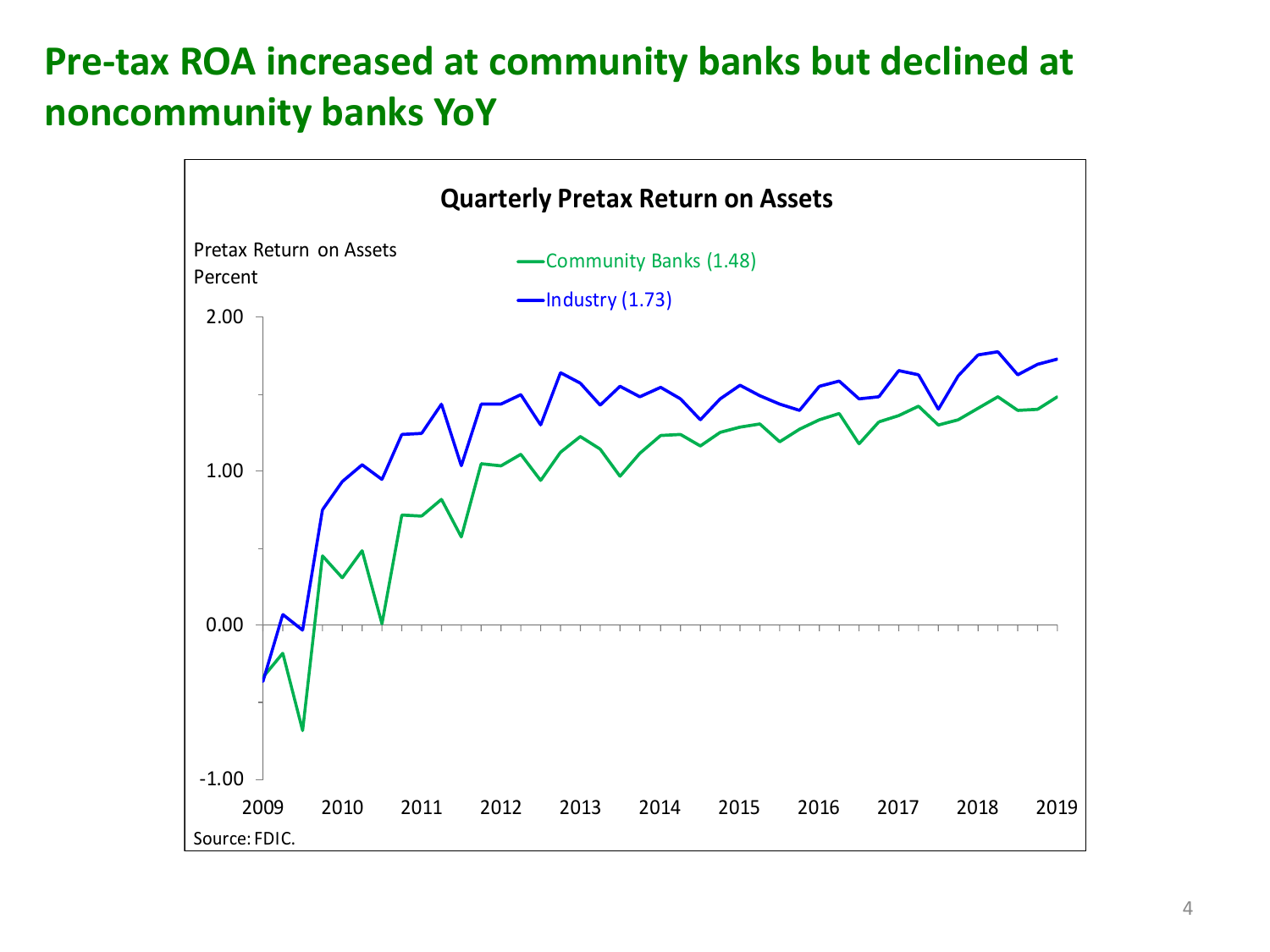# **Pre-tax ROA increased at community banks but declined at noncommunity banks YoY**

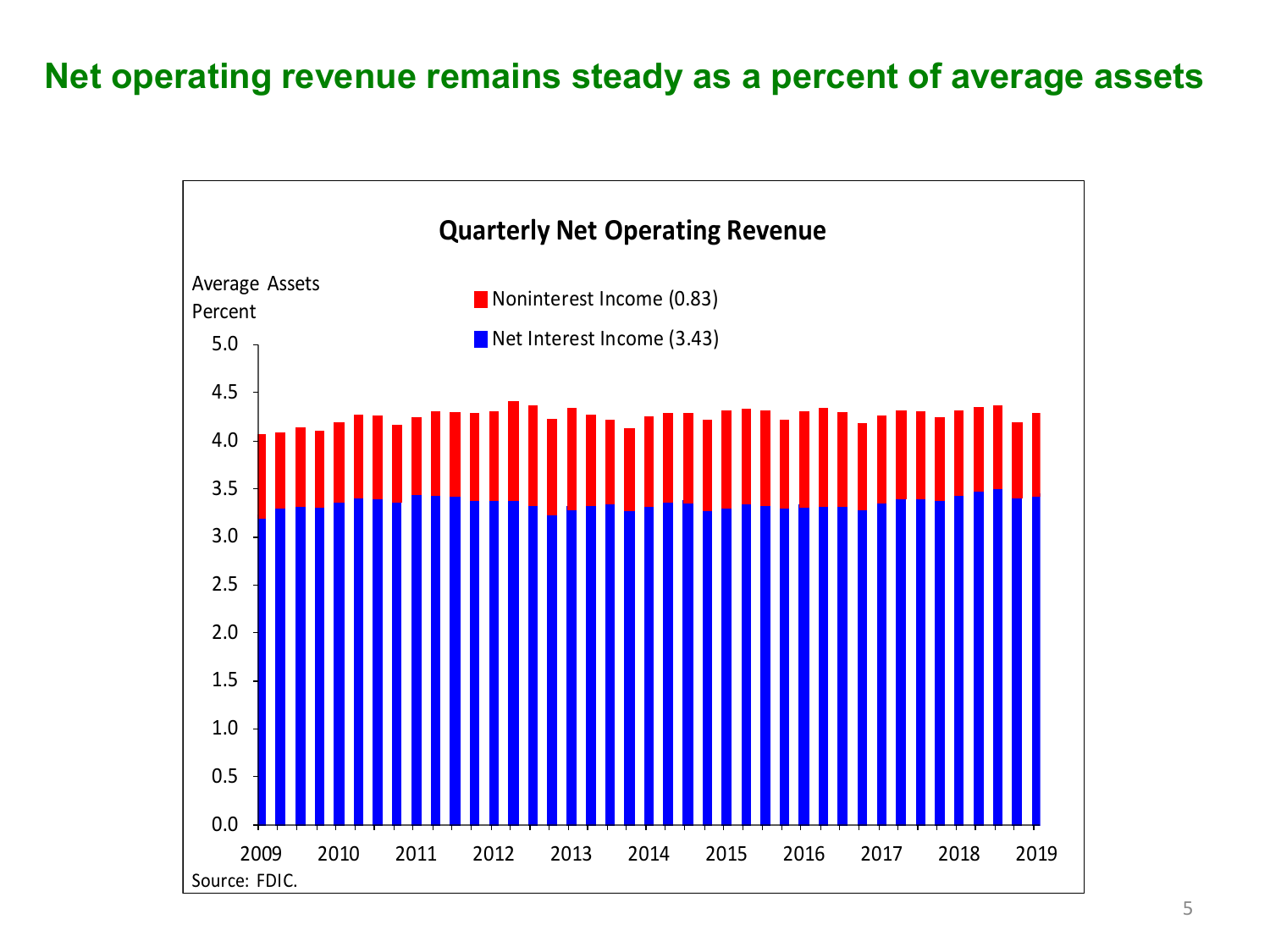#### **Net operating revenue remains steady as a percent of average assets**

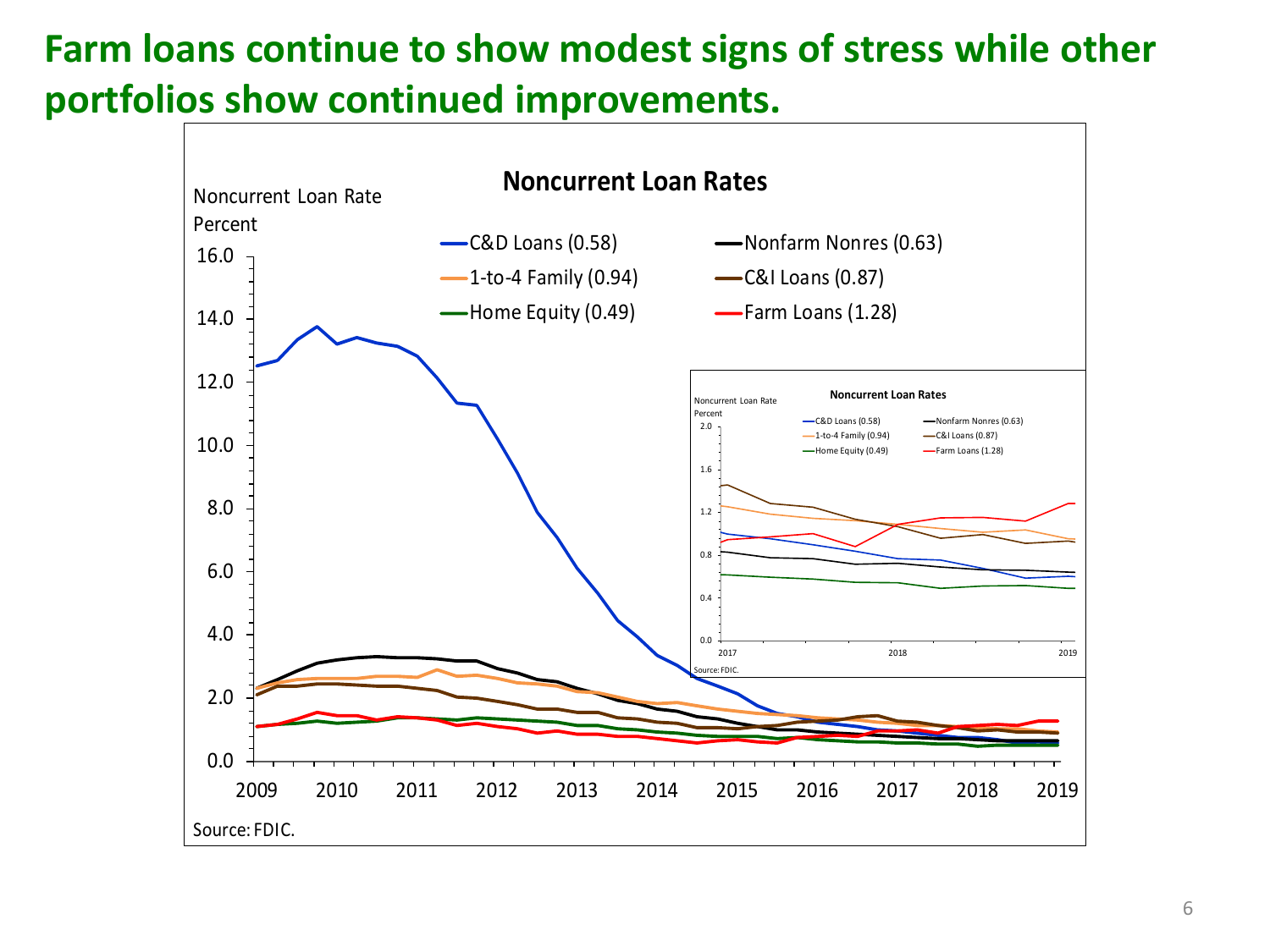# **Farm loans continue to show modest signs of stress while other portfolios show continued improvements.**

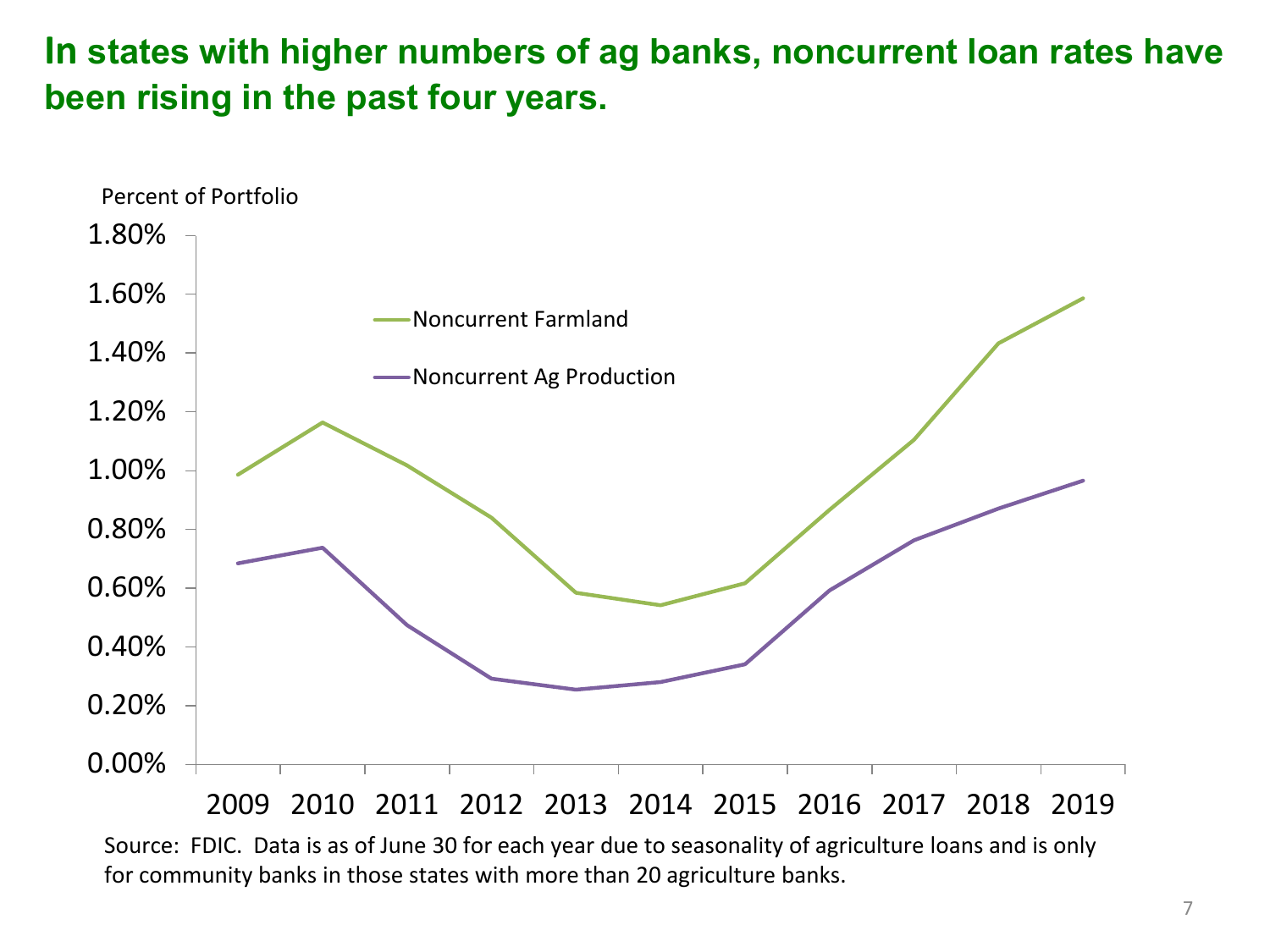### **In states with higher numbers of ag banks, noncurrent loan rates have been rising in the past four years.**



 Source: FDIC. Data is as of June 30 for each year due to seasonality of agriculture loans and is only for community banks in those states with more than 20 agriculture banks.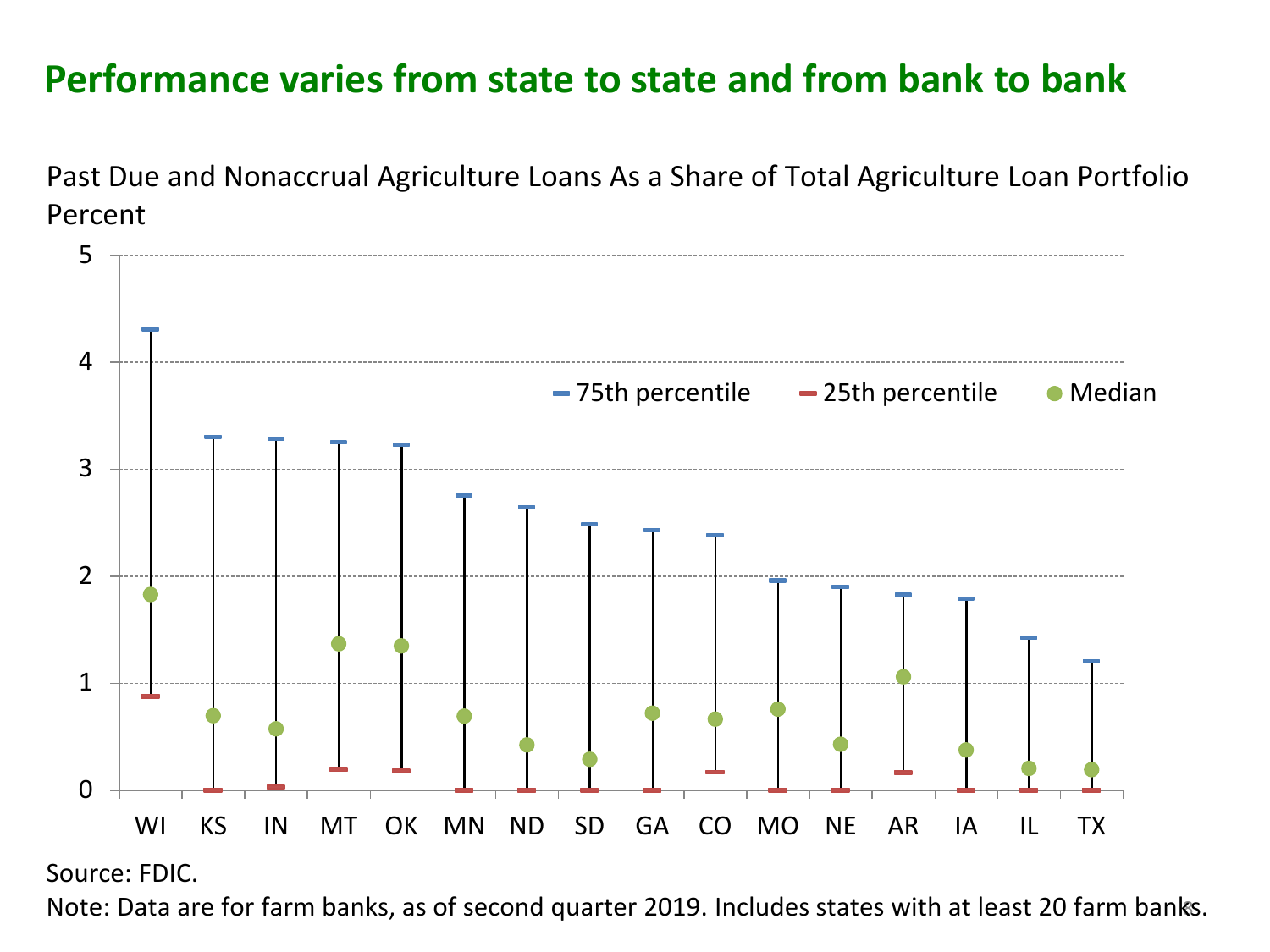## **Performance varies from state to state and from bank to bank**



 Past Due and Nonaccrual Agriculture Loans As a Share of Total Agriculture Loan Portfolio Percent

Source: FDIC.

Note: Data are for farm banks, as of second quarter 2019. Includes states with at least 20 farm banks. 8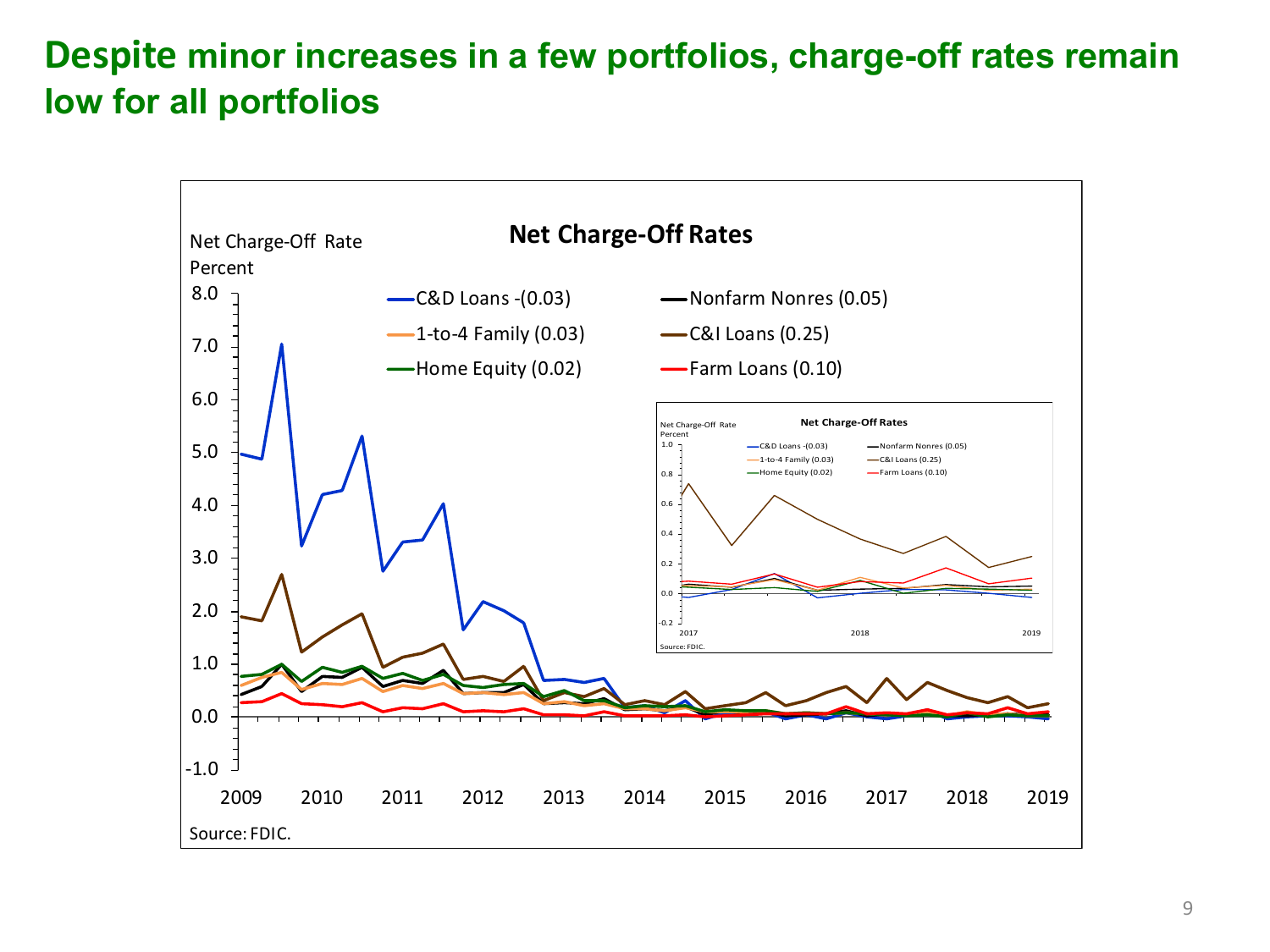### **Despite minor increases in a few portfolios, charge-off rates remain low for all portfolios**

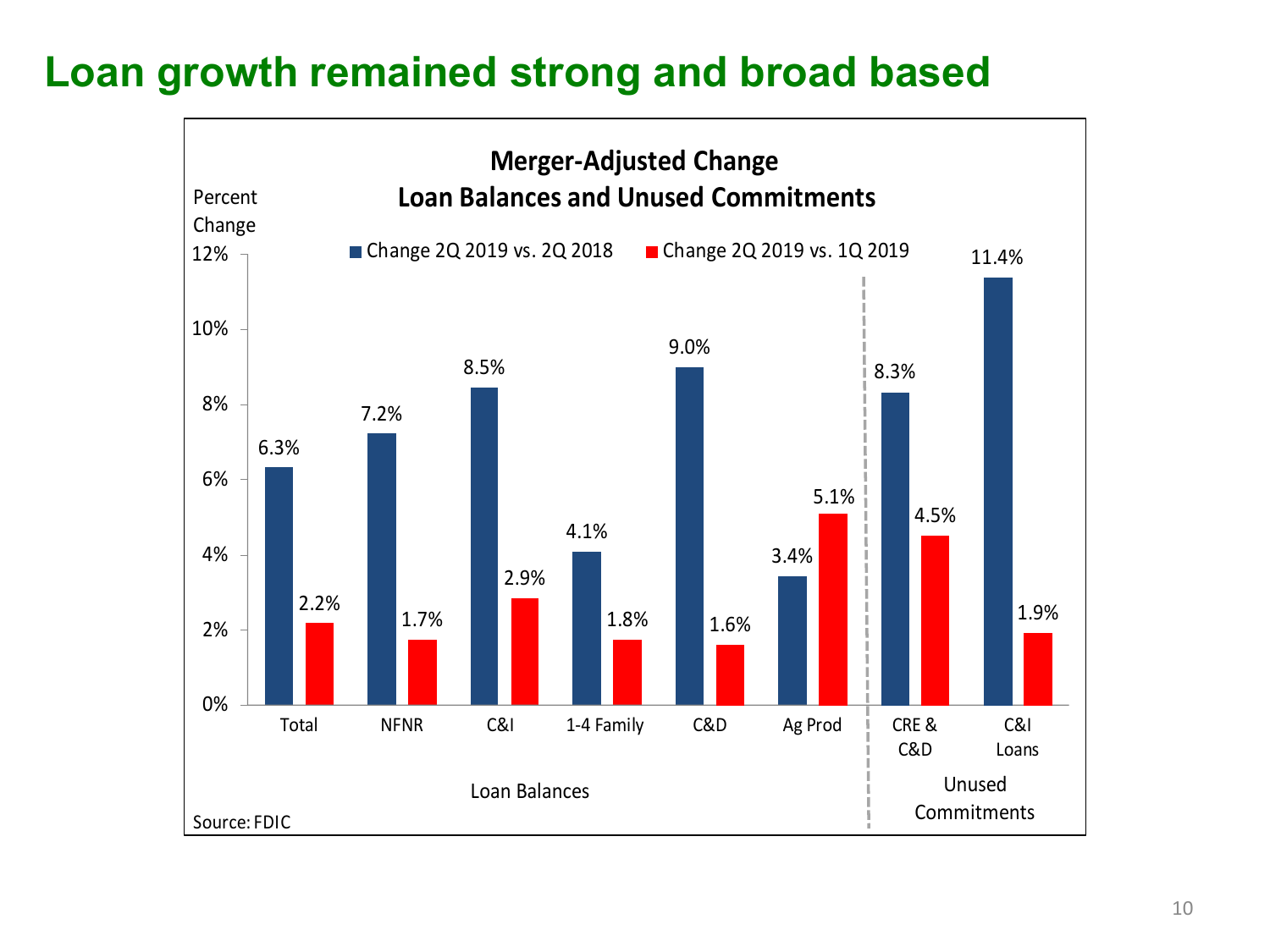# **Loan growth remained strong and broad based**

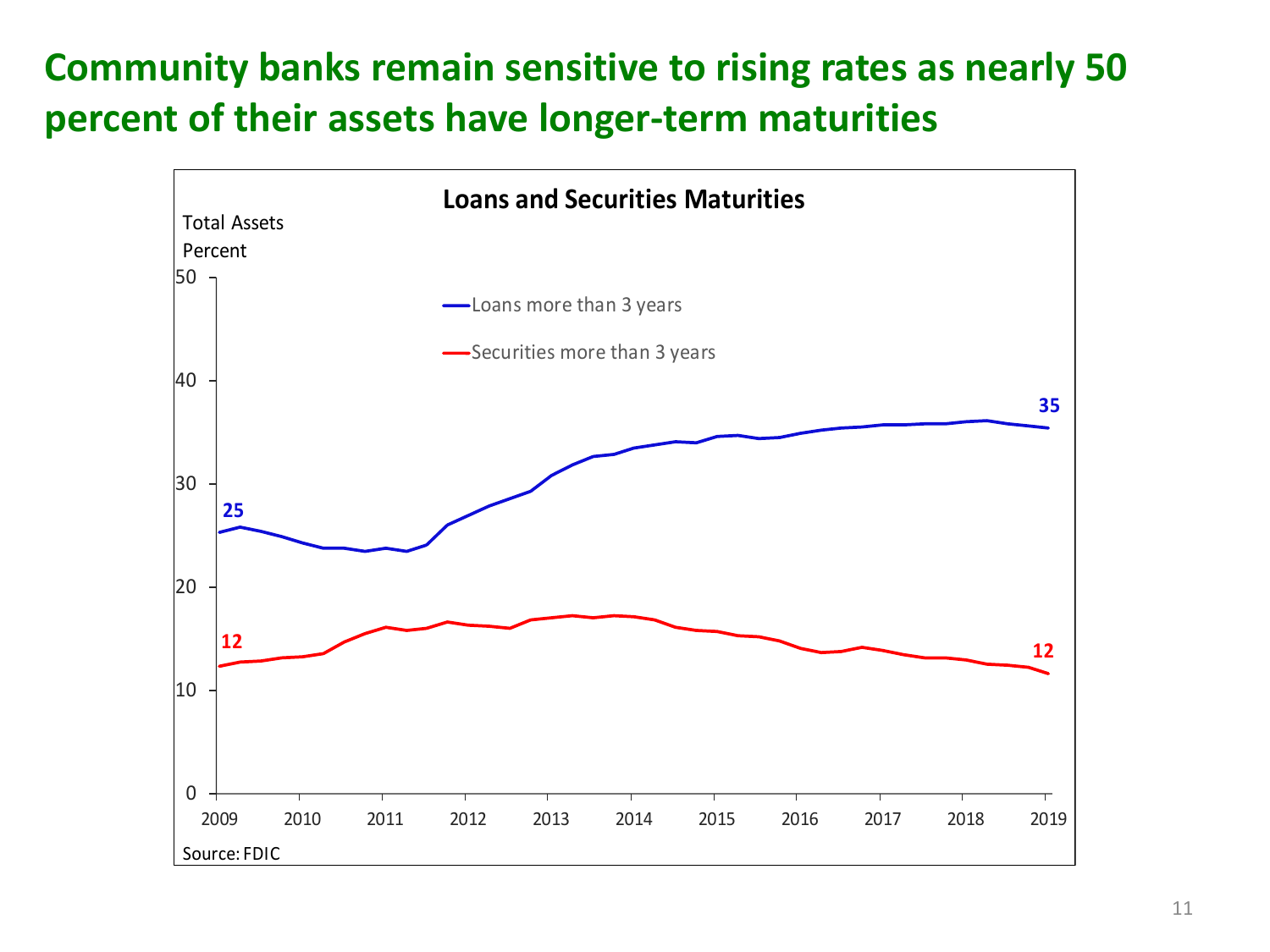# **Community banks remain sensitive to rising rates as nearly 50 percent of their assets have longer-term maturities**

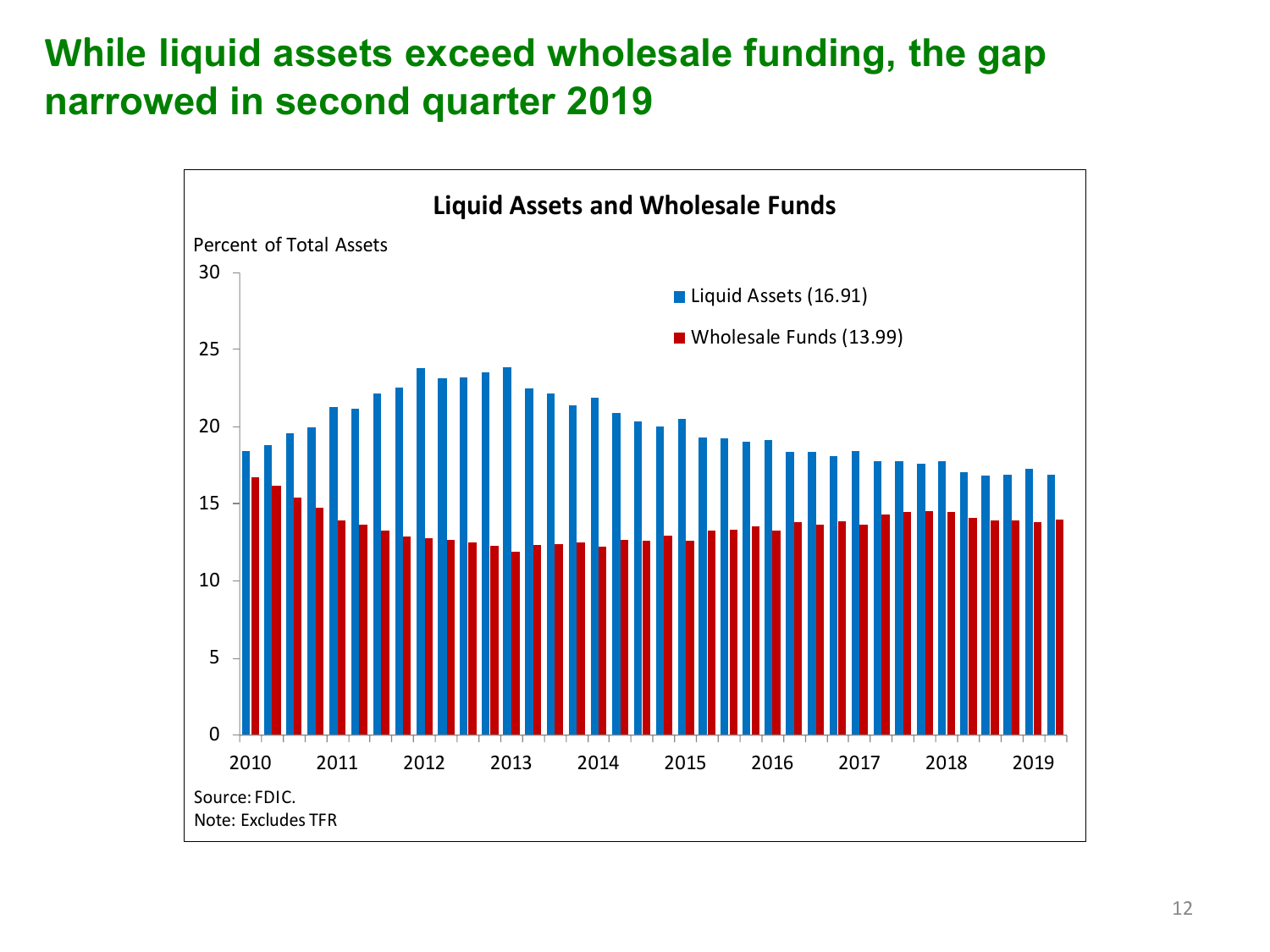## **While liquid assets exceed wholesale funding, the gap narrowed in second quarter 2019**

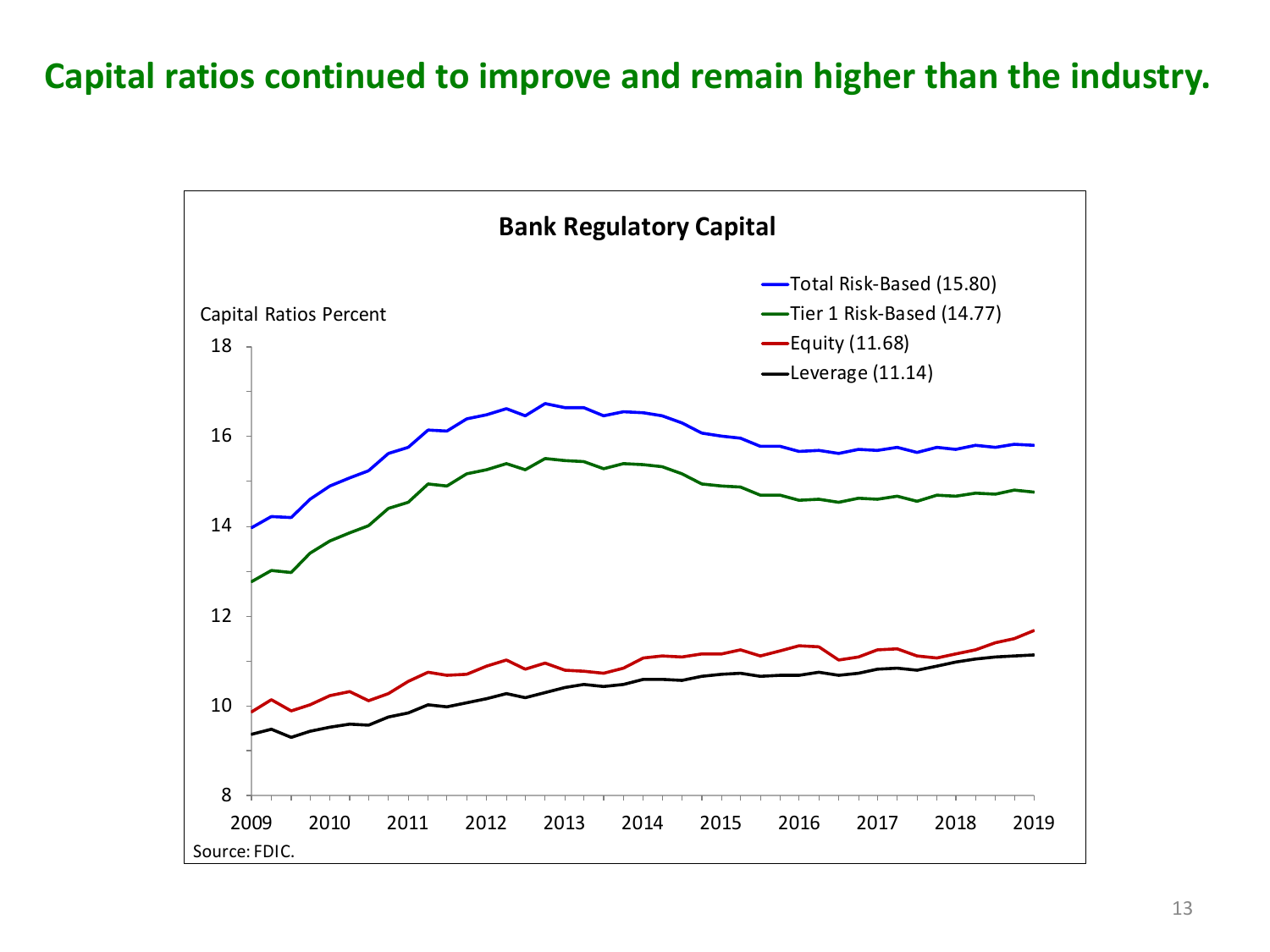#### **Capital ratios continued to improve and remain higher than the industry.**